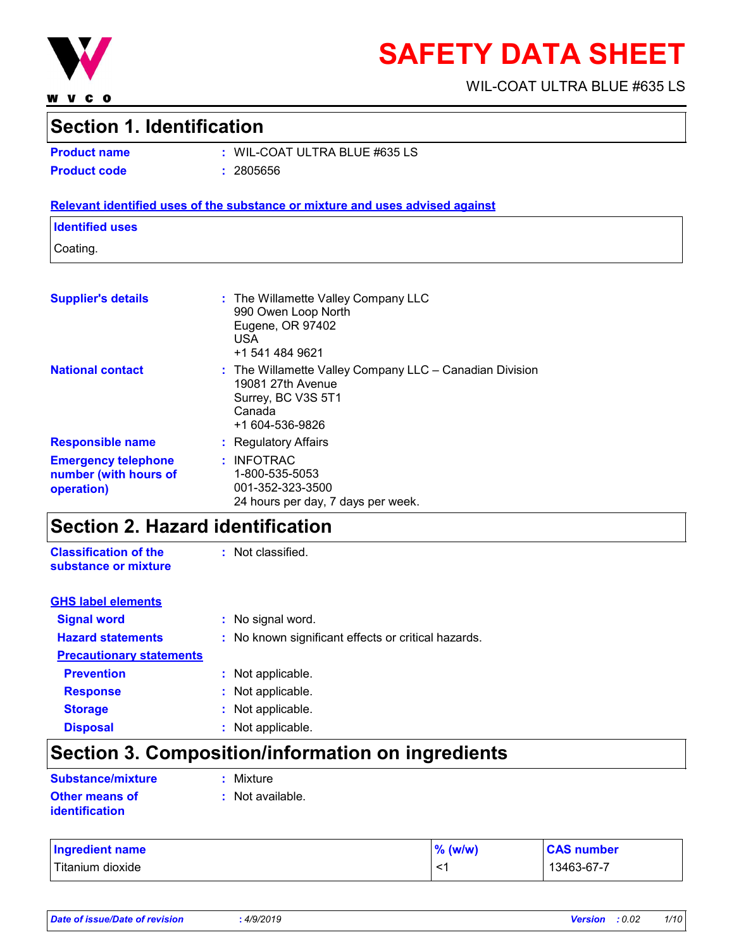

**WVCO** 

# **SAFETY DATA SHEET**

WIL-COAT ULTRA BLUE #635 LS

### **Section 1. Identification**

| <b>Product name</b> | $:$ WIL-CO/ |
|---------------------|-------------|
| <b>Product code</b> | : 2805656   |

**Product name :** WIL-COAT ULTRA BLUE #635 LS

#### **Relevant identified uses of the substance or mixture and uses advised against**

#### **Identified uses**

Coating.

| <b>Supplier's details</b>                                         | : The Willamette Valley Company LLC<br>990 Owen Loop North<br>Eugene, OR 97402<br><b>USA</b><br>+1 541 484 9621                     |
|-------------------------------------------------------------------|-------------------------------------------------------------------------------------------------------------------------------------|
| <b>National contact</b>                                           | $:$ The Willamette Valley Company LLC $-$ Canadian Division<br>19081 27th Avenue<br>Surrey, BC V3S 5T1<br>Canada<br>+1 604-536-9826 |
| <b>Responsible name</b>                                           | : Regulatory Affairs                                                                                                                |
| <b>Emergency telephone</b><br>number (with hours of<br>operation) | $:$ INFOTRAC<br>1-800-535-5053<br>001-352-323-3500<br>24 hours per day, 7 days per week.                                            |

### **Section 2. Hazard identification**

**Classification of the substance or mixture** : Not classified.

| <b>GHS label elements</b>       |                                                     |
|---------------------------------|-----------------------------------------------------|
| <b>Signal word</b>              | : No signal word.                                   |
| <b>Hazard statements</b>        | : No known significant effects or critical hazards. |
| <b>Precautionary statements</b> |                                                     |
| <b>Prevention</b>               | : Not applicable.                                   |
| <b>Response</b>                 | : Not applicable.                                   |
| <b>Storage</b>                  | : Not applicable.                                   |
| <b>Disposal</b>                 | : Not applicable.                                   |

### **Section 3. Composition/information on ingredients**

| <b>Substance/mixture</b>         | : Mixture        |
|----------------------------------|------------------|
| Other means of<br>identification | : Not available. |

| <b>Ingredient name</b> | $%$ (w/w) | <b>CAS number</b> |
|------------------------|-----------|-------------------|
| Titanium dioxide       | —<br>< 1  | 13463-67-7        |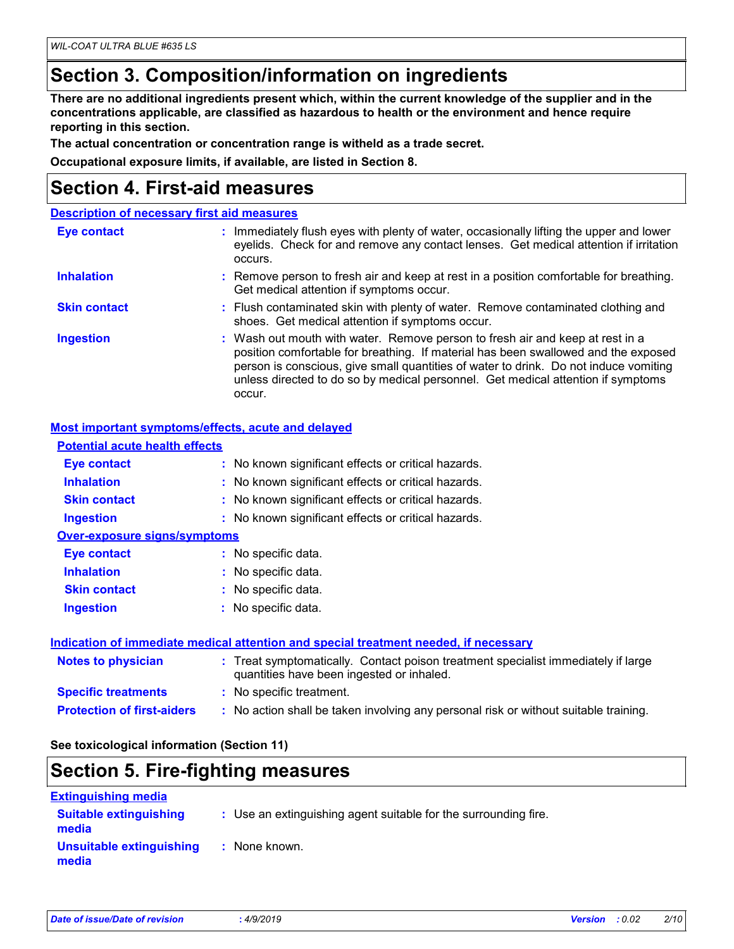### **Section 3. Composition/information on ingredients**

**There are no additional ingredients present which, within the current knowledge of the supplier and in the concentrations applicable, are classified as hazardous to health or the environment and hence require reporting in this section.**

**The actual concentration or concentration range is witheld as a trade secret.**

**Occupational exposure limits, if available, are listed in Section 8.**

### **Section 4. First-aid measures**

|                     | <b>Description of necessary first aid measures</b>                                                                                                                                                                                                                                                                                                        |
|---------------------|-----------------------------------------------------------------------------------------------------------------------------------------------------------------------------------------------------------------------------------------------------------------------------------------------------------------------------------------------------------|
| <b>Eye contact</b>  | : Immediately flush eyes with plenty of water, occasionally lifting the upper and lower<br>eyelids. Check for and remove any contact lenses. Get medical attention if irritation<br>occurs.                                                                                                                                                               |
| <b>Inhalation</b>   | : Remove person to fresh air and keep at rest in a position comfortable for breathing.<br>Get medical attention if symptoms occur.                                                                                                                                                                                                                        |
| <b>Skin contact</b> | : Flush contaminated skin with plenty of water. Remove contaminated clothing and<br>shoes. Get medical attention if symptoms occur.                                                                                                                                                                                                                       |
| <b>Ingestion</b>    | : Wash out mouth with water. Remove person to fresh air and keep at rest in a<br>position comfortable for breathing. If material has been swallowed and the exposed<br>person is conscious, give small quantities of water to drink. Do not induce vomiting<br>unless directed to do so by medical personnel. Get medical attention if symptoms<br>occur. |

#### **Most important symptoms/effects, acute and delayed**

| <b>Potential acute health effects</b> |                                                                                                                                |
|---------------------------------------|--------------------------------------------------------------------------------------------------------------------------------|
| <b>Eye contact</b>                    | : No known significant effects or critical hazards.                                                                            |
| <b>Inhalation</b>                     | : No known significant effects or critical hazards.                                                                            |
| <b>Skin contact</b>                   | : No known significant effects or critical hazards.                                                                            |
| <b>Ingestion</b>                      | : No known significant effects or critical hazards.                                                                            |
| Over-exposure signs/symptoms          |                                                                                                                                |
| Eye contact                           | : No specific data.                                                                                                            |
| <b>Inhalation</b>                     | : No specific data.                                                                                                            |
| <b>Skin contact</b>                   | : No specific data.                                                                                                            |
| <b>Ingestion</b>                      | : No specific data.                                                                                                            |
|                                       | <u>Indication of immediate medical attention and special treatment needed, if necessary</u>                                    |
| <b>Notes to physician</b>             | : Treat symptomatically. Contact poison treatment specialist immediately if large<br>quantities have been ingested or inhaled. |
| <b>Specific treatments</b>            | : No specific treatment.                                                                                                       |
| <b>Protection of first-aiders</b>     | : No action shall be taken involving any personal risk or without suitable training.                                           |
|                                       |                                                                                                                                |

#### **See toxicological information (Section 11)**

### **Section 5. Fire-fighting measures**

| <b>Extinguishing media</b>             |                                                                 |
|----------------------------------------|-----------------------------------------------------------------|
| <b>Suitable extinguishing</b><br>media | : Use an extinguishing agent suitable for the surrounding fire. |
| Unsuitable extinguishing<br>media      | : None known.                                                   |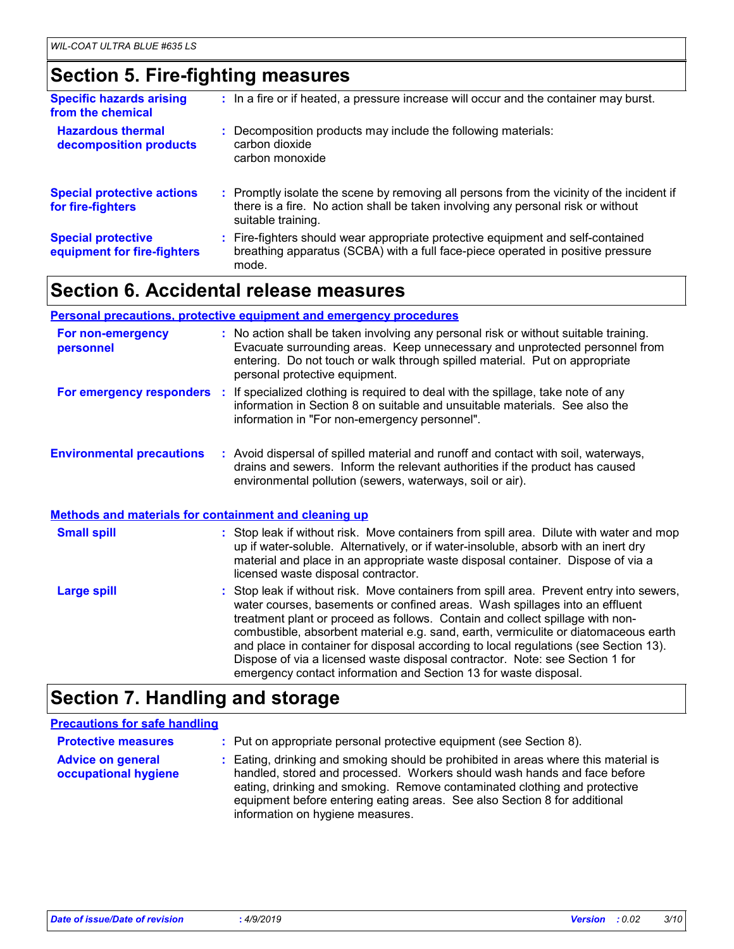### **Section 5. Fire-fighting measures**

| <b>Specific hazards arising</b><br>from the chemical     | : In a fire or if heated, a pressure increase will occur and the container may burst.                                                                                                               |
|----------------------------------------------------------|-----------------------------------------------------------------------------------------------------------------------------------------------------------------------------------------------------|
| <b>Hazardous thermal</b><br>decomposition products       | : Decomposition products may include the following materials:<br>carbon dioxide<br>carbon monoxide                                                                                                  |
| <b>Special protective actions</b><br>for fire-fighters   | : Promptly isolate the scene by removing all persons from the vicinity of the incident if<br>there is a fire. No action shall be taken involving any personal risk or without<br>suitable training. |
| <b>Special protective</b><br>equipment for fire-fighters | : Fire-fighters should wear appropriate protective equipment and self-contained<br>breathing apparatus (SCBA) with a full face-piece operated in positive pressure<br>mode.                         |

### **Section 6. Accidental release measures**

#### **Personal precautions, protective equipment and emergency procedures**

| For non-emergency<br>personnel                               | : No action shall be taken involving any personal risk or without suitable training.<br>Evacuate surrounding areas. Keep unnecessary and unprotected personnel from<br>entering. Do not touch or walk through spilled material. Put on appropriate<br>personal protective equipment.                                                                                                                                                                                                                                                                                                        |
|--------------------------------------------------------------|---------------------------------------------------------------------------------------------------------------------------------------------------------------------------------------------------------------------------------------------------------------------------------------------------------------------------------------------------------------------------------------------------------------------------------------------------------------------------------------------------------------------------------------------------------------------------------------------|
|                                                              | <b>For emergency responders</b> : If specialized clothing is required to deal with the spillage, take note of any<br>information in Section 8 on suitable and unsuitable materials. See also the<br>information in "For non-emergency personnel".                                                                                                                                                                                                                                                                                                                                           |
| <b>Environmental precautions</b>                             | : Avoid dispersal of spilled material and runoff and contact with soil, waterways,<br>drains and sewers. Inform the relevant authorities if the product has caused<br>environmental pollution (sewers, waterways, soil or air).                                                                                                                                                                                                                                                                                                                                                             |
| <b>Methods and materials for containment and cleaning up</b> |                                                                                                                                                                                                                                                                                                                                                                                                                                                                                                                                                                                             |
| <b>Small spill</b>                                           | : Stop leak if without risk. Move containers from spill area. Dilute with water and mop<br>up if water-soluble. Alternatively, or if water-insoluble, absorb with an inert dry<br>material and place in an appropriate waste disposal container. Dispose of via a<br>licensed waste disposal contractor.                                                                                                                                                                                                                                                                                    |
| <b>Large spill</b>                                           | : Stop leak if without risk. Move containers from spill area. Prevent entry into sewers,<br>water courses, basements or confined areas. Wash spillages into an effluent<br>treatment plant or proceed as follows. Contain and collect spillage with non-<br>combustible, absorbent material e.g. sand, earth, vermiculite or diatomaceous earth<br>and place in container for disposal according to local regulations (see Section 13).<br>Dispose of via a licensed waste disposal contractor. Note: see Section 1 for<br>emergency contact information and Section 13 for waste disposal. |

### **Section 7. Handling and storage**

#### **Advice on general occupational hygiene** Eating, drinking and smoking should be prohibited in areas where this material is **:** handled, stored and processed. Workers should wash hands and face before eating, drinking and smoking. Remove contaminated clothing and protective equipment before entering eating areas. See also Section 8 for additional information on hygiene measures. **Protective measures : Put on appropriate personal protective equipment (see Section 8). Precautions for safe handling**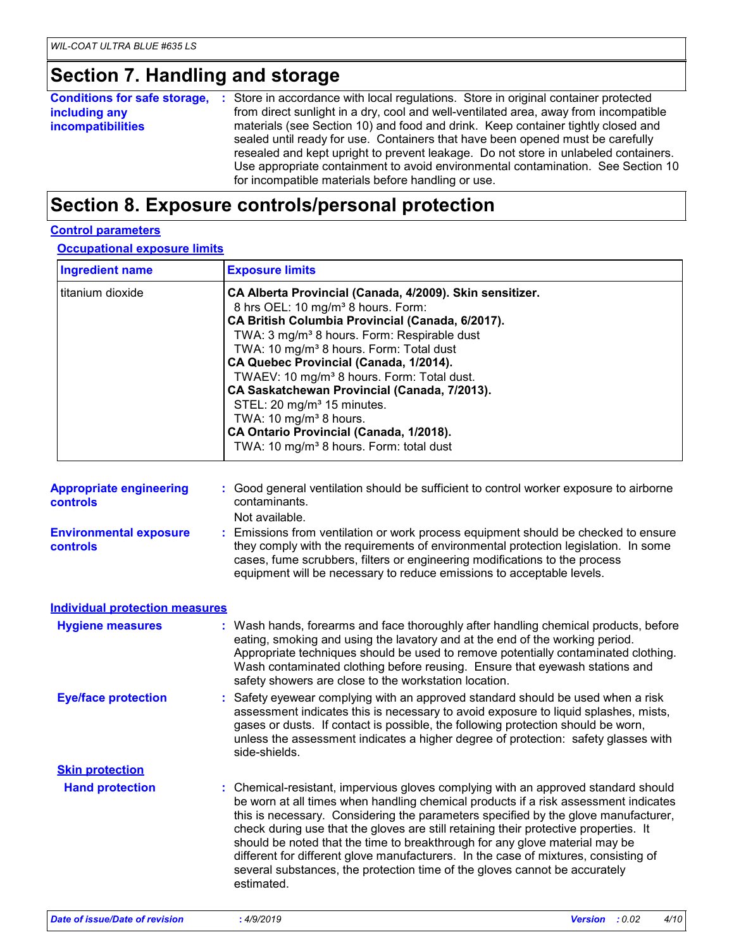### **Section 7. Handling and storage**

|                          | <b>Conditions for safe storage, :</b> Store in accordance with local regulations. Store in original container protected                                                                                                                                                                                                                                                                             |
|--------------------------|-----------------------------------------------------------------------------------------------------------------------------------------------------------------------------------------------------------------------------------------------------------------------------------------------------------------------------------------------------------------------------------------------------|
| including any            | from direct sunlight in a dry, cool and well-ventilated area, away from incompatible                                                                                                                                                                                                                                                                                                                |
| <b>incompatibilities</b> | materials (see Section 10) and food and drink. Keep container tightly closed and<br>sealed until ready for use. Containers that have been opened must be carefully<br>resealed and kept upright to prevent leakage. Do not store in unlabeled containers.<br>Use appropriate containment to avoid environmental contamination. See Section 10<br>for incompatible materials before handling or use. |

### **Section 8. Exposure controls/personal protection**

#### **Control parameters**

**Occupational exposure limits**

| <b>Ingredient name</b> | <b>Exposure limits</b>                                                                                                                                                                                                                                                                                                                                                                                                                                                                                                                                                                                                 |  |
|------------------------|------------------------------------------------------------------------------------------------------------------------------------------------------------------------------------------------------------------------------------------------------------------------------------------------------------------------------------------------------------------------------------------------------------------------------------------------------------------------------------------------------------------------------------------------------------------------------------------------------------------------|--|
| titanium dioxide       | CA Alberta Provincial (Canada, 4/2009). Skin sensitizer.<br>8 hrs OEL: 10 mg/m <sup>3</sup> 8 hours. Form:<br>CA British Columbia Provincial (Canada, 6/2017).<br>TWA: 3 mg/m <sup>3</sup> 8 hours. Form: Respirable dust<br>TWA: 10 mg/m <sup>3</sup> 8 hours. Form: Total dust<br>CA Quebec Provincial (Canada, 1/2014).<br>TWAEV: 10 mg/m <sup>3</sup> 8 hours. Form: Total dust.<br>CA Saskatchewan Provincial (Canada, 7/2013).<br>STEL: 20 mg/m <sup>3</sup> 15 minutes.<br>TWA: 10 mg/m <sup>3</sup> 8 hours.<br>CA Ontario Provincial (Canada, 1/2018).<br>TWA: 10 mg/m <sup>3</sup> 8 hours. Form: total dust |  |

| <b>Appropriate engineering</b><br><b>controls</b> | : Good general ventilation should be sufficient to control worker exposure to airborne<br>contaminants.                                                                                                                                                                                                                         |
|---------------------------------------------------|---------------------------------------------------------------------------------------------------------------------------------------------------------------------------------------------------------------------------------------------------------------------------------------------------------------------------------|
|                                                   | Not available.                                                                                                                                                                                                                                                                                                                  |
| <b>Environmental exposure</b><br><b>controls</b>  | : Emissions from ventilation or work process equipment should be checked to ensure<br>they comply with the requirements of environmental protection legislation. In some<br>cases, fume scrubbers, filters or engineering modifications to the process<br>equipment will be necessary to reduce emissions to acceptable levels. |

| <b>Individual protection measures</b> |                                                                                                                                                                                                                                                                                                                                                                                                                                                                                                                                                                                                                           |
|---------------------------------------|---------------------------------------------------------------------------------------------------------------------------------------------------------------------------------------------------------------------------------------------------------------------------------------------------------------------------------------------------------------------------------------------------------------------------------------------------------------------------------------------------------------------------------------------------------------------------------------------------------------------------|
| <b>Hygiene measures</b>               | : Wash hands, forearms and face thoroughly after handling chemical products, before<br>eating, smoking and using the lavatory and at the end of the working period.<br>Appropriate techniques should be used to remove potentially contaminated clothing.<br>Wash contaminated clothing before reusing. Ensure that eyewash stations and<br>safety showers are close to the workstation location.                                                                                                                                                                                                                         |
| <b>Eye/face protection</b>            | : Safety eyewear complying with an approved standard should be used when a risk<br>assessment indicates this is necessary to avoid exposure to liquid splashes, mists,<br>gases or dusts. If contact is possible, the following protection should be worn,<br>unless the assessment indicates a higher degree of protection: safety glasses with<br>side-shields.                                                                                                                                                                                                                                                         |
| <b>Skin protection</b>                |                                                                                                                                                                                                                                                                                                                                                                                                                                                                                                                                                                                                                           |
| <b>Hand protection</b>                | : Chemical-resistant, impervious gloves complying with an approved standard should<br>be worn at all times when handling chemical products if a risk assessment indicates<br>this is necessary. Considering the parameters specified by the glove manufacturer,<br>check during use that the gloves are still retaining their protective properties. It<br>should be noted that the time to breakthrough for any glove material may be<br>different for different glove manufacturers. In the case of mixtures, consisting of<br>several substances, the protection time of the gloves cannot be accurately<br>estimated. |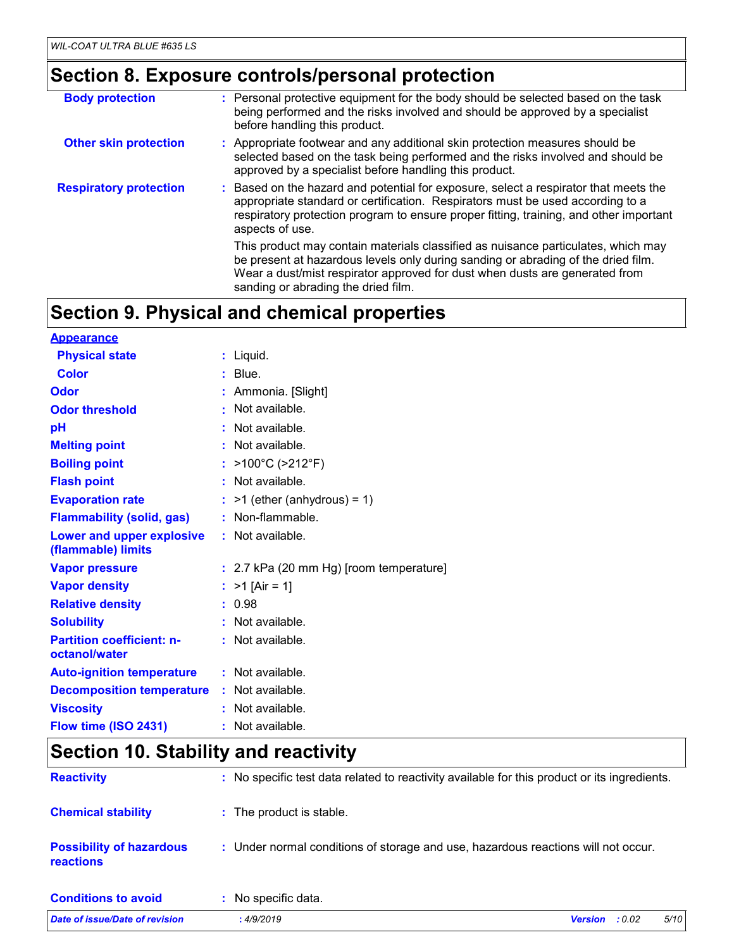## **Section 8. Exposure controls/personal protection**

| <b>Body protection</b>        | : Personal protective equipment for the body should be selected based on the task<br>being performed and the risks involved and should be approved by a specialist<br>before handling this product.                                                                                          |
|-------------------------------|----------------------------------------------------------------------------------------------------------------------------------------------------------------------------------------------------------------------------------------------------------------------------------------------|
| <b>Other skin protection</b>  | : Appropriate footwear and any additional skin protection measures should be<br>selected based on the task being performed and the risks involved and should be<br>approved by a specialist before handling this product.                                                                    |
| <b>Respiratory protection</b> | : Based on the hazard and potential for exposure, select a respirator that meets the<br>appropriate standard or certification. Respirators must be used according to a<br>respiratory protection program to ensure proper fitting, training, and other important<br>aspects of use.          |
|                               | This product may contain materials classified as nuisance particulates, which may<br>be present at hazardous levels only during sanding or abrading of the dried film.<br>Wear a dust/mist respirator approved for dust when dusts are generated from<br>sanding or abrading the dried film. |

### **Section 9. Physical and chemical properties**

| <b>Appearance</b>                                 |                                         |
|---------------------------------------------------|-----------------------------------------|
| <b>Physical state</b>                             | : Liquid.                               |
| <b>Color</b>                                      | $:$ Blue.                               |
| Odor                                              | Ammonia. [Slight]                       |
| <b>Odor threshold</b>                             | Not available.                          |
| рH                                                | Not available.                          |
| <b>Melting point</b>                              | : Not available.                        |
| <b>Boiling point</b>                              | : $>100^{\circ}$ C ( $>212^{\circ}$ F)  |
| <b>Flash point</b>                                | : Not available.                        |
| <b>Evaporation rate</b>                           | $:$ >1 (ether (anhydrous) = 1)          |
| <b>Flammability (solid, gas)</b>                  | : Non-flammable.                        |
| Lower and upper explosive<br>(flammable) limits   | : Not available.                        |
| <b>Vapor pressure</b>                             | : 2.7 kPa (20 mm Hg) [room temperature] |
| <b>Vapor density</b>                              | : $>1$ [Air = 1]                        |
| <b>Relative density</b>                           | : 0.98                                  |
| <b>Solubility</b>                                 | : Not available.                        |
| <b>Partition coefficient: n-</b><br>octanol/water | : Not available.                        |
| <b>Auto-ignition temperature</b>                  | : Not available.                        |
| <b>Decomposition temperature</b>                  | : Not available.                        |
| <b>Viscosity</b>                                  | $:$ Not available.                      |
| Flow time (ISO 2431)                              | : Not available.                        |

### **Section 10. Stability and reactivity**

| Date of issue/Date of revision                      | 5/10<br><b>Version</b><br>:4/9/2019<br>: 0.02                                                |
|-----------------------------------------------------|----------------------------------------------------------------------------------------------|
| <b>Conditions to avoid</b>                          | : No specific data.                                                                          |
| <b>Possibility of hazardous</b><br><b>reactions</b> | : Under normal conditions of storage and use, hazardous reactions will not occur.            |
| <b>Chemical stability</b>                           | : The product is stable.                                                                     |
| <b>Reactivity</b>                                   | : No specific test data related to reactivity available for this product or its ingredients. |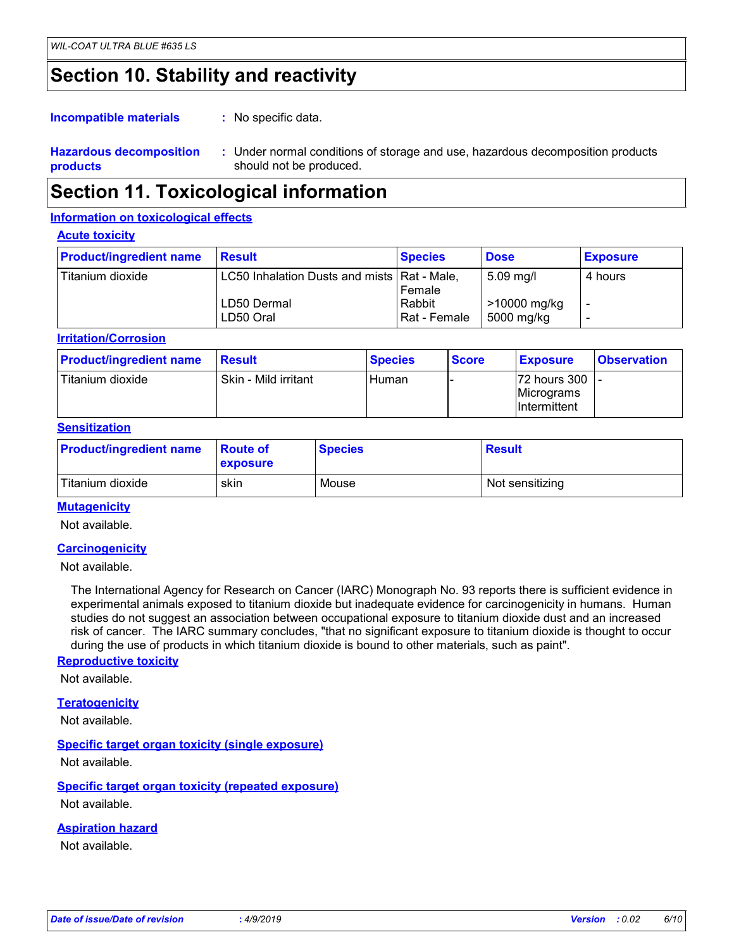### **Section 10. Stability and reactivity**

: No specific data. **Incompatible materials :**

#### **Hazardous decomposition products** Under normal conditions of storage and use, hazardous decomposition products **:** should not be produced.

### **Section 11. Toxicological information**

#### **Information on toxicological effects**

#### **Acute toxicity**

| <b>Product/ingredient name</b> | <b>Result</b>                                                             | <b>Species</b>                   | <b>Dose</b>                                          | <b>Exposure</b> |
|--------------------------------|---------------------------------------------------------------------------|----------------------------------|------------------------------------------------------|-----------------|
| Titanium dioxide               | LC50 Inhalation Dusts and mists   Rat - Male,<br>LD50 Dermal<br>LD50 Oral | Female<br>Rabbit<br>Rat - Female | $5.09 \,\mathrm{mg/l}$<br>>10000 mg/kg<br>5000 mg/kg | 4 hours         |

#### **Irritation/Corrosion**

| <b>Product/ingredient name</b> | Result               | <b>Species</b> | <b>Score</b> | <b>Exposure</b>                                        | <b>Observation</b> |
|--------------------------------|----------------------|----------------|--------------|--------------------------------------------------------|--------------------|
| Titanium dioxide               | Skin - Mild irritant | l Human        |              | 172 hours 300 1 -<br>Micrograms<br><b>Intermittent</b> |                    |

#### **Sensitization**

| <b>Product/ingredient name</b> | <b>Route of</b><br><b>exposure</b> | <b>Species</b> | <b>Result</b>   |
|--------------------------------|------------------------------------|----------------|-----------------|
| Titanium dioxide               | skin                               | Mouse          | Not sensitizing |

#### **Mutagenicity**

Not available.

#### **Carcinogenicity**

Not available.

The International Agency for Research on Cancer (IARC) Monograph No. 93 reports there is sufficient evidence in experimental animals exposed to titanium dioxide but inadequate evidence for carcinogenicity in humans. Human studies do not suggest an association between occupational exposure to titanium dioxide dust and an increased risk of cancer. The IARC summary concludes, "that no significant exposure to titanium dioxide is thought to occur during the use of products in which titanium dioxide is bound to other materials, such as paint".

#### **Reproductive toxicity**

Not available.

#### **Teratogenicity**

Not available.

#### **Specific target organ toxicity (single exposure)**

Not available.

#### **Specific target organ toxicity (repeated exposure)**

Not available.

#### **Aspiration hazard**

Not available.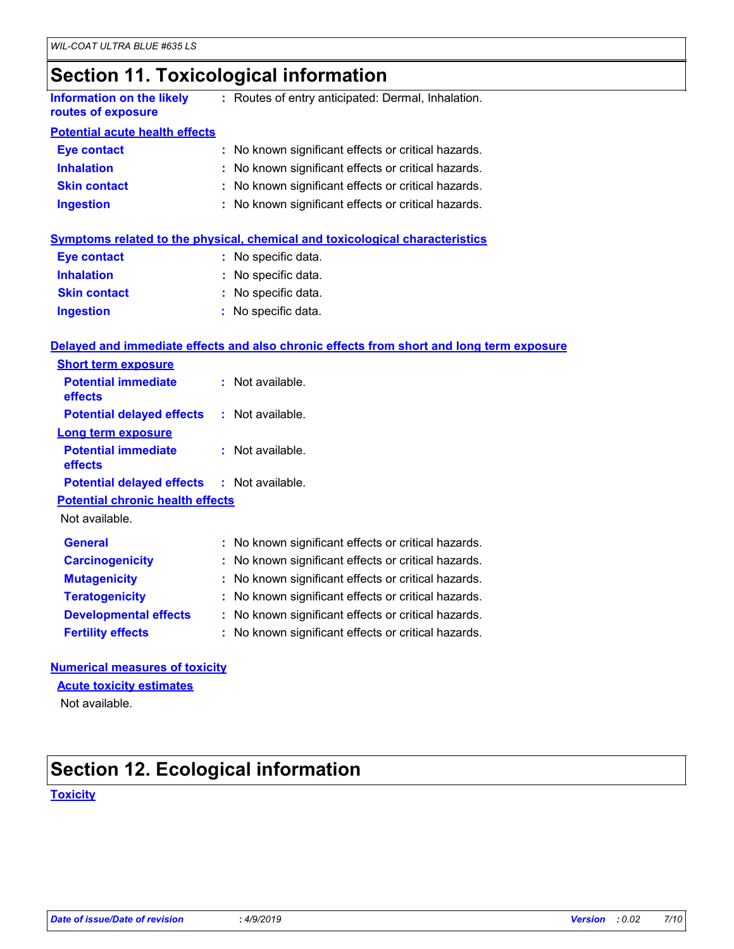### **Section 11. Toxicological information**

| Information on the likely | Routes of entry anticipated: Dermal, Inhalation. |
|---------------------------|--------------------------------------------------|
| routes of exposure        |                                                  |

#### **Potential acute health effects**

| Eye contact         | : No known significant effects or critical hazards. |
|---------------------|-----------------------------------------------------|
| <b>Inhalation</b>   | : No known significant effects or critical hazards. |
| <b>Skin contact</b> | : No known significant effects or critical hazards. |
| <b>Ingestion</b>    | : No known significant effects or critical hazards. |

### **Symptoms related to the physical, chemical and toxicological characteristics**

| <b>Eye contact</b>  | : No specific data. |
|---------------------|---------------------|
| <b>Inhalation</b>   | : No specific data. |
| <b>Skin contact</b> | : No specific data. |
| <b>Ingestion</b>    | : No specific data. |

#### **Delayed and immediate effects and also chronic effects from short and long term exposure**

| <b>Short term exposure</b>                        |                                                     |
|---------------------------------------------------|-----------------------------------------------------|
| <b>Potential immediate</b><br>effects             | $:$ Not available.                                  |
| <b>Potential delayed effects</b>                  | $:$ Not available.                                  |
| <b>Long term exposure</b>                         |                                                     |
| <b>Potential immediate</b><br>effects             | $:$ Not available.                                  |
| <b>Potential delayed effects : Not available.</b> |                                                     |
| <b>Potential chronic health effects</b>           |                                                     |
| Not available.                                    |                                                     |
| <b>General</b>                                    | : No known significant effects or critical hazards. |
| <b>Carcinogenicity</b>                            | : No known significant effects or critical hazards. |
| <b>Mutagenicity</b>                               | : No known significant effects or critical hazards. |
| <b>Teratogenicity</b>                             | : No known significant effects or critical hazards. |
| <b>Developmental effects</b>                      | : No known significant effects or critical hazards. |
| <b>Fertility effects</b>                          | : No known significant effects or critical hazards. |

#### **Numerical measures of toxicity**

#### **Acute toxicity estimates**

Not available.

### **Section 12. Ecological information**

#### **Toxicity**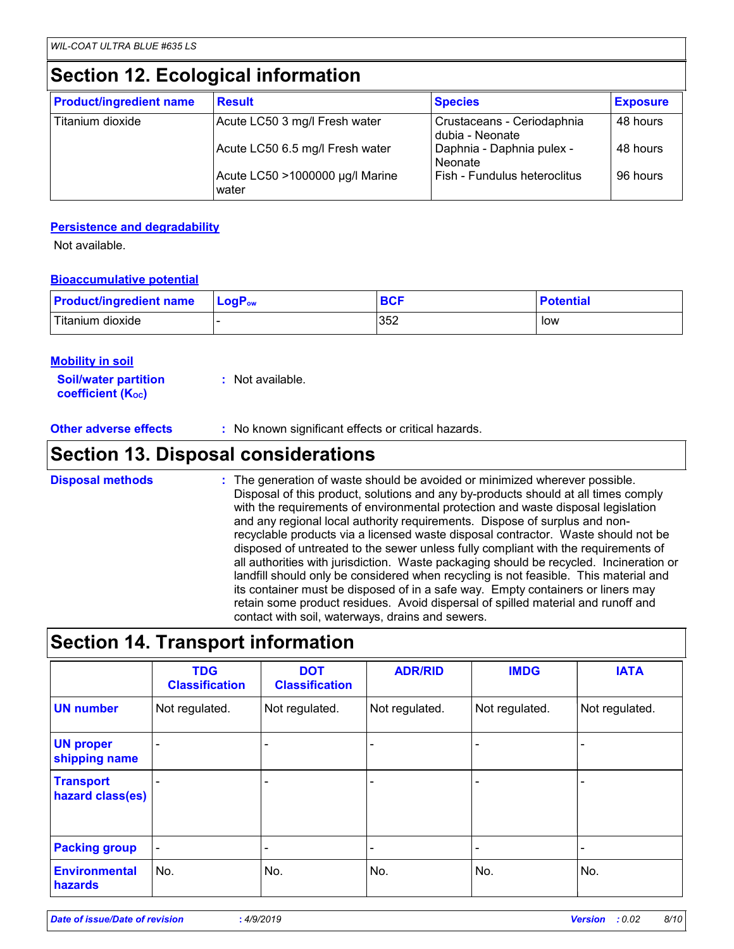### **Section 12. Ecological information**

| <b>Product/ingredient name</b> | <b>Result</b>                            | <b>Species</b>                                | <b>Exposure</b> |
|--------------------------------|------------------------------------------|-----------------------------------------------|-----------------|
| Titanium dioxide               | Acute LC50 3 mg/l Fresh water            | Crustaceans - Ceriodaphnia<br>dubia - Neonate | 48 hours        |
|                                | Acute LC50 6.5 mg/l Fresh water          | Daphnia - Daphnia pulex -<br>Neonate          | 48 hours        |
|                                | Acute LC50 >1000000 µg/l Marine<br>water | Fish - Fundulus heteroclitus                  | 96 hours        |

#### **Persistence and degradability**

Not available.

#### **Bioaccumulative potential**

| <b>Product/ingredient name</b> | $\blacksquare$ Log $\mathsf{P}_{\mathsf{ow}}$ | <b>BCF</b> | <b>Potential</b> |
|--------------------------------|-----------------------------------------------|------------|------------------|
| Titanium dioxide               |                                               | 352        | low              |

#### **Mobility in soil**

| <b>Soil/water partition</b>    | : Not available. |
|--------------------------------|------------------|
| coefficient (K <sub>oc</sub> ) |                  |

**Other adverse effects** : No known significant effects or critical hazards.

### **Section 13. Disposal considerations**

The generation of waste should be avoided or minimized wherever possible. Disposal of this product, solutions and any by-products should at all times comply with the requirements of environmental protection and waste disposal legislation and any regional local authority requirements. Dispose of surplus and nonrecyclable products via a licensed waste disposal contractor. Waste should not be disposed of untreated to the sewer unless fully compliant with the requirements of all authorities with jurisdiction. Waste packaging should be recycled. Incineration or landfill should only be considered when recycling is not feasible. This material and its container must be disposed of in a safe way. Empty containers or liners may retain some product residues. Avoid dispersal of spilled material and runoff and contact with soil, waterways, drains and sewers. **Disposal methods :**

### **Section 14. Transport information**

|                                      | <b>TDG</b><br><b>Classification</b> | <b>DOT</b><br><b>Classification</b> | <b>ADR/RID</b>           | <b>IMDG</b>              | <b>IATA</b>              |
|--------------------------------------|-------------------------------------|-------------------------------------|--------------------------|--------------------------|--------------------------|
| <b>UN number</b>                     | Not regulated.                      | Not regulated.                      | Not regulated.           | Not regulated.           | Not regulated.           |
| <b>UN proper</b><br>shipping name    | ۳                                   |                                     |                          |                          |                          |
| <b>Transport</b><br>hazard class(es) |                                     |                                     |                          |                          |                          |
| <b>Packing group</b>                 | $\overline{\phantom{a}}$            | $\qquad \qquad \blacksquare$        | $\overline{\phantom{a}}$ | $\overline{\phantom{a}}$ | $\overline{\phantom{0}}$ |
| <b>Environmental</b><br>hazards      | No.                                 | No.                                 | No.                      | No.                      | No.                      |

*Date of issue/Date of revision* **:** *4/9/2019 Version : 0.02 8/10*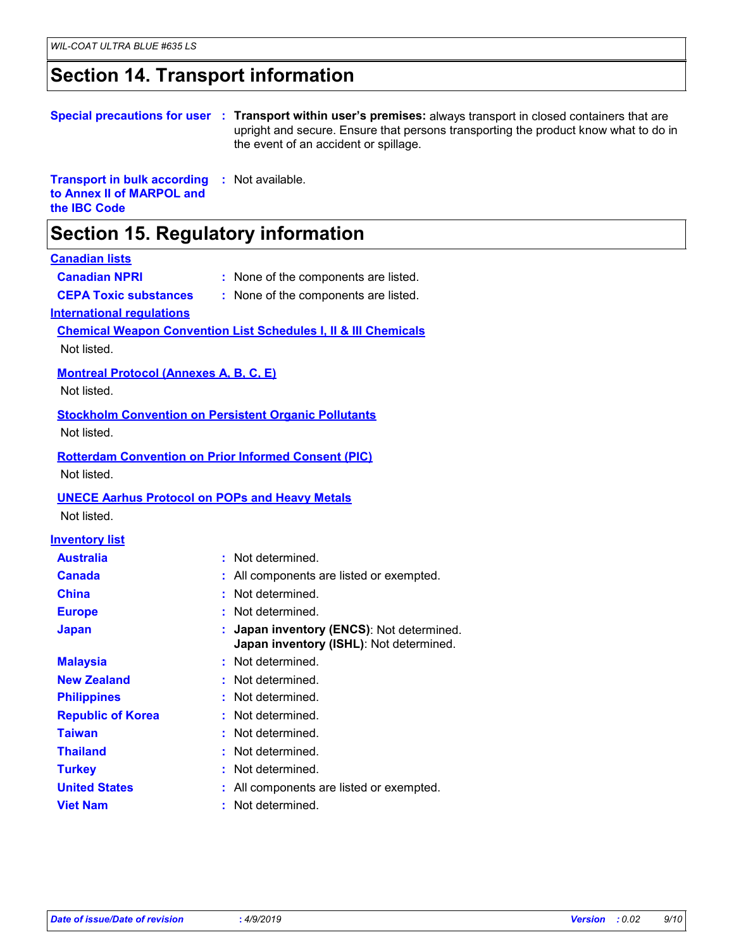### **Section 14. Transport information**

#### **Special precautions for user Transport within user's premises:** always transport in closed containers that are **:** upright and secure. Ensure that persons transporting the product know what to do in the event of an accident or spillage.

**Transport in bulk according to Annex II of MARPOL and the IBC Code :** Not available.

### **Section 15. Regulatory information**

#### **Canadian lists**

- **Canadian NPRI :** None of the components are listed.
- 
- **CEPA Toxic substances :** None of the components are listed.
- 
- **International regulations**

#### **Chemical Weapon Convention List Schedules I, II & III Chemicals**

Not listed.

#### **Montreal Protocol (Annexes A, B, C, E)**

Not listed.

#### **Stockholm Convention on Persistent Organic Pollutants**

Not listed.

### **Rotterdam Convention on Prior Informed Consent (PIC)**

Not listed.

#### **UNECE Aarhus Protocol on POPs and Heavy Metals**

Not listed.

### **Inventory list**

| <b>Australia</b>         | : Not determined.                                                                    |
|--------------------------|--------------------------------------------------------------------------------------|
| <b>Canada</b>            | : All components are listed or exempted.                                             |
| <b>China</b>             | : Not determined.                                                                    |
| <b>Europe</b>            | : Not determined.                                                                    |
| <b>Japan</b>             | : Japan inventory (ENCS): Not determined.<br>Japan inventory (ISHL): Not determined. |
| <b>Malaysia</b>          | : Not determined.                                                                    |
| <b>New Zealand</b>       | : Not determined.                                                                    |
| <b>Philippines</b>       | : Not determined.                                                                    |
| <b>Republic of Korea</b> | : Not determined.                                                                    |
| <b>Taiwan</b>            | : Not determined.                                                                    |
| <b>Thailand</b>          | : Not determined.                                                                    |
| <b>Turkey</b>            | : Not determined.                                                                    |
| <b>United States</b>     | : All components are listed or exempted.                                             |
| <b>Viet Nam</b>          | Not determined.                                                                      |